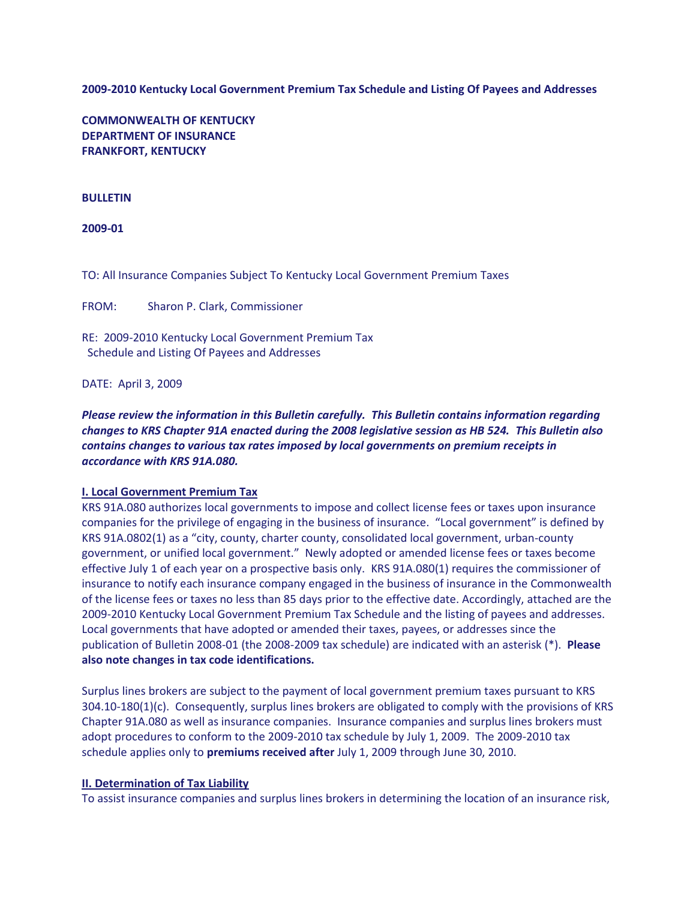**2009-2010 Kentucky Local Government Premium Tax Schedule and Listing Of Payees and Addresses**

**COMMONWEALTH OF KENTUCKY DEPARTMENT OF INSURANCE FRANKFORT, KENTUCKY**

# **BULLETIN**

**2009-01**

TO: All Insurance Companies Subject To Kentucky Local Government Premium Taxes

FROM: Sharon P. Clark, Commissioner

RE: 2009-2010 Kentucky Local Government Premium Tax Schedule and Listing Of Payees and Addresses

DATE: April 3, 2009

*Please review the information in this Bulletin carefully. This Bulletin contains information regarding changes to KRS Chapter 91A enacted during the 2008 legislative session as HB 524. This Bulletin also contains changes to various tax rates imposed by local governments on premium receipts in accordance with KRS 91A.080.*

### **I. Local Government Premium Tax**

KRS 91A.080 authorizes local governments to impose and collect license fees or taxes upon insurance companies for the privilege of engaging in the business of insurance. "Local government" is defined by KRS 91A.0802(1) as a "city, county, charter county, consolidated local government, urban-county government, or unified local government." Newly adopted or amended license fees or taxes become effective July 1 of each year on a prospective basis only. KRS 91A.080(1) requires the commissioner of insurance to notify each insurance company engaged in the business of insurance in the Commonwealth of the license fees or taxes no less than 85 days prior to the effective date. Accordingly, attached are the 2009-2010 Kentucky Local Government Premium Tax Schedule and the listing of payees and addresses. Local governments that have adopted or amended their taxes, payees, or addresses since the publication of Bulletin 2008-01 (the 2008-2009 tax schedule) are indicated with an asterisk (\*). **Please also note changes in tax code identifications.**

Surplus lines brokers are subject to the payment of local government premium taxes pursuant to KRS 304.10-180(1)(c). Consequently, surplus lines brokers are obligated to comply with the provisions of KRS Chapter 91A.080 as well as insurance companies. Insurance companies and surplus lines brokers must adopt procedures to conform to the 2009-2010 tax schedule by July 1, 2009. The 2009-2010 tax schedule applies only to **premiums received after** July 1, 2009 through June 30, 2010.

### **II. Determination of Tax Liability**

To assist insurance companies and surplus lines brokers in determining the location of an insurance risk,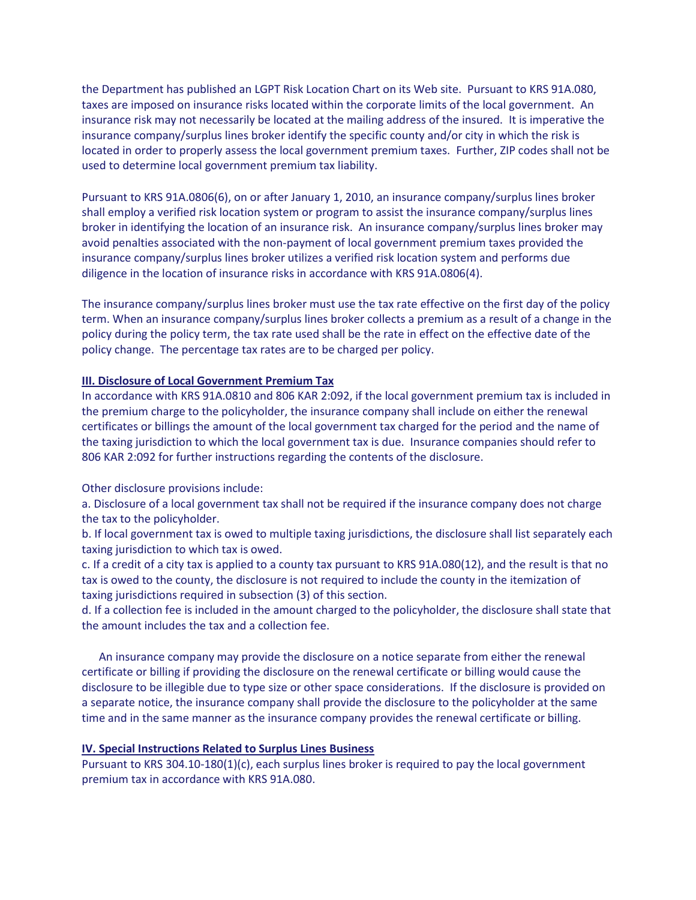the Department has published an LGPT Risk Location Chart on its Web site. Pursuant to KRS 91A.080, taxes are imposed on insurance risks located within the corporate limits of the local government. An insurance risk may not necessarily be located at the mailing address of the insured. It is imperative the insurance company/surplus lines broker identify the specific county and/or city in which the risk is located in order to properly assess the local government premium taxes. Further, ZIP codes shall not be used to determine local government premium tax liability.

Pursuant to KRS 91A.0806(6), on or after January 1, 2010, an insurance company/surplus lines broker shall employ a verified risk location system or program to assist the insurance company/surplus lines broker in identifying the location of an insurance risk. An insurance company/surplus lines broker may avoid penalties associated with the non-payment of local government premium taxes provided the insurance company/surplus lines broker utilizes a verified risk location system and performs due diligence in the location of insurance risks in accordance with KRS 91A.0806(4).

The insurance company/surplus lines broker must use the tax rate effective on the first day of the policy term. When an insurance company/surplus lines broker collects a premium as a result of a change in the policy during the policy term, the tax rate used shall be the rate in effect on the effective date of the policy change. The percentage tax rates are to be charged per policy.

# **III. Disclosure of Local Government Premium Tax**

In accordance with KRS 91A.0810 and 806 KAR 2:092, if the local government premium tax is included in the premium charge to the policyholder, the insurance company shall include on either the renewal certificates or billings the amount of the local government tax charged for the period and the name of the taxing jurisdiction to which the local government tax is due. Insurance companies should refer to 806 KAR 2:092 for further instructions regarding the contents of the disclosure.

Other disclosure provisions include:

a. Disclosure of a local government tax shall not be required if the insurance company does not charge the tax to the policyholder.

b. If local government tax is owed to multiple taxing jurisdictions, the disclosure shall list separately each taxing jurisdiction to which tax is owed.

c. If a credit of a city tax is applied to a county tax pursuant to KRS 91A.080(12), and the result is that no tax is owed to the county, the disclosure is not required to include the county in the itemization of taxing jurisdictions required in subsection (3) of this section.

d. If a collection fee is included in the amount charged to the policyholder, the disclosure shall state that the amount includes the tax and a collection fee.

 An insurance company may provide the disclosure on a notice separate from either the renewal certificate or billing if providing the disclosure on the renewal certificate or billing would cause the disclosure to be illegible due to type size or other space considerations. If the disclosure is provided on a separate notice, the insurance company shall provide the disclosure to the policyholder at the same time and in the same manner as the insurance company provides the renewal certificate or billing.

# **IV. Special Instructions Related to Surplus Lines Business**

Pursuant to KRS 304.10-180(1)(c), each surplus lines broker is required to pay the local government premium tax in accordance with KRS 91A.080.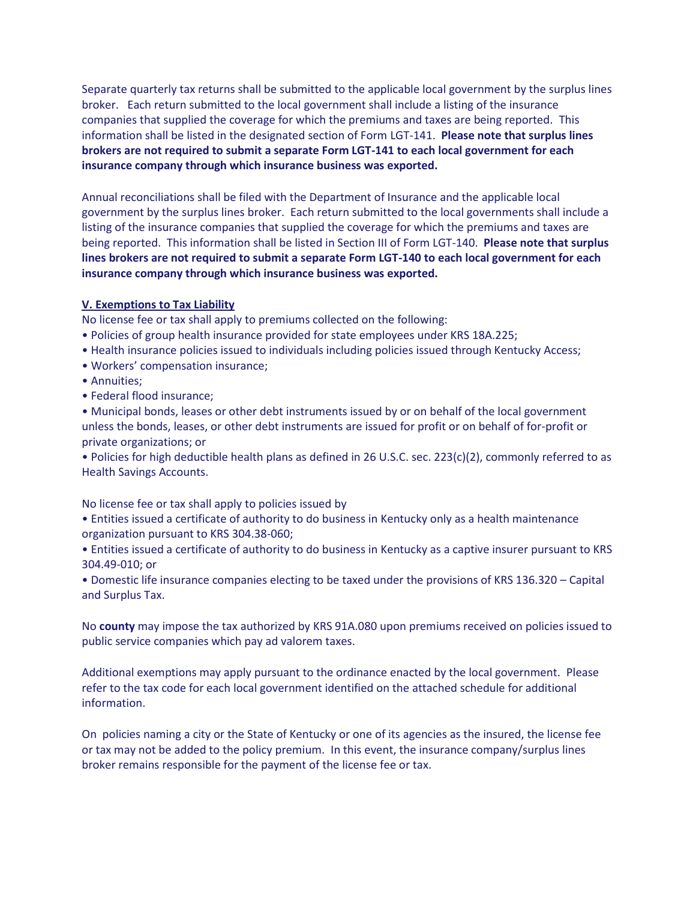Separate quarterly tax returns shall be submitted to the applicable local government by the surplus lines broker. Each return submitted to the local government shall include a listing of the insurance companies that supplied the coverage for which the premiums and taxes are being reported. This information shall be listed in the designated section of Form LGT-141. **Please note that surplus lines brokers are not required to submit a separate Form LGT-141 to each local government for each insurance company through which insurance business was exported.**

Annual reconciliations shall be filed with the Department of Insurance and the applicable local government by the surplus lines broker. Each return submitted to the local governments shall include a listing of the insurance companies that supplied the coverage for which the premiums and taxes are being reported. This information shall be listed in Section III of Form LGT-140. **Please note that surplus lines brokers are not required to submit a separate Form LGT-140 to each local government for each insurance company through which insurance business was exported.**

# **V. Exemptions to Tax Liability**

No license fee or tax shall apply to premiums collected on the following:

- Policies of group health insurance provided for state employees under KRS 18A.225;
- Health insurance policies issued to individuals including policies issued through Kentucky Access;
- Workers' compensation insurance;
- Annuities;
- Federal flood insurance;

• Municipal bonds, leases or other debt instruments issued by or on behalf of the local government unless the bonds, leases, or other debt instruments are issued for profit or on behalf of for-profit or private organizations; or

• Policies for high deductible health plans as defined in 26 U.S.C. sec. 223(c)(2), commonly referred to as Health Savings Accounts.

No license fee or tax shall apply to policies issued by

• Entities issued a certificate of authority to do business in Kentucky only as a health maintenance organization pursuant to KRS 304.38-060;

• Entities issued a certificate of authority to do business in Kentucky as a captive insurer pursuant to KRS 304.49-010; or

• Domestic life insurance companies electing to be taxed under the provisions of KRS 136.320 – Capital and Surplus Tax.

No **county** may impose the tax authorized by KRS 91A.080 upon premiums received on policies issued to public service companies which pay ad valorem taxes.

Additional exemptions may apply pursuant to the ordinance enacted by the local government. Please refer to the tax code for each local government identified on the attached schedule for additional information.

On policies naming a city or the State of Kentucky or one of its agencies as the insured, the license fee or tax may not be added to the policy premium. In this event, the insurance company/surplus lines broker remains responsible for the payment of the license fee or tax.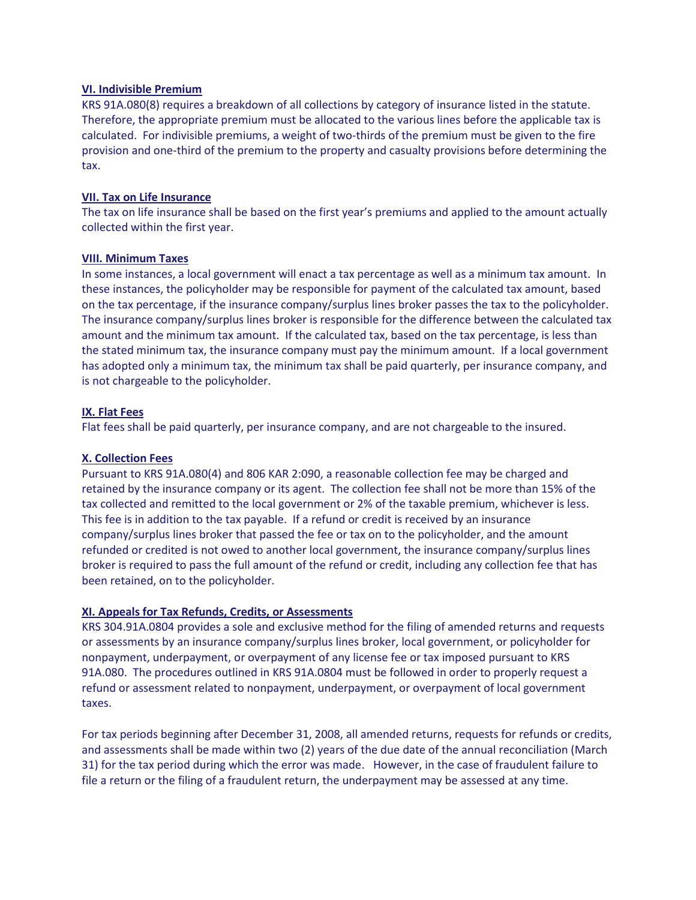# **VI. Indivisible Premium**

KRS 91A.080(8) requires a breakdown of all collections by category of insurance listed in the statute. Therefore, the appropriate premium must be allocated to the various lines before the applicable tax is calculated. For indivisible premiums, a weight of two-thirds of the premium must be given to the fire provision and one-third of the premium to the property and casualty provisions before determining the tax.

# **VII. Tax on Life Insurance**

The tax on life insurance shall be based on the first year's premiums and applied to the amount actually collected within the first year.

# **VIII. Minimum Taxes**

In some instances, a local government will enact a tax percentage as well as a minimum tax amount. In these instances, the policyholder may be responsible for payment of the calculated tax amount, based on the tax percentage, if the insurance company/surplus lines broker passes the tax to the policyholder. The insurance company/surplus lines broker is responsible for the difference between the calculated tax amount and the minimum tax amount. If the calculated tax, based on the tax percentage, is less than the stated minimum tax, the insurance company must pay the minimum amount. If a local government has adopted only a minimum tax, the minimum tax shall be paid quarterly, per insurance company, and is not chargeable to the policyholder.

# **IX. Flat Fees**

Flat fees shall be paid quarterly, per insurance company, and are not chargeable to the insured.

# **X. Collection Fees**

Pursuant to KRS 91A.080(4) and 806 KAR 2:090, a reasonable collection fee may be charged and retained by the insurance company or its agent. The collection fee shall not be more than 15% of the tax collected and remitted to the local government or 2% of the taxable premium, whichever is less. This fee is in addition to the tax payable. If a refund or credit is received by an insurance company/surplus lines broker that passed the fee or tax on to the policyholder, and the amount refunded or credited is not owed to another local government, the insurance company/surplus lines broker is required to pass the full amount of the refund or credit, including any collection fee that has been retained, on to the policyholder.

### **XI. Appeals for Tax Refunds, Credits, or Assessments**

KRS 304.91A.0804 provides a sole and exclusive method for the filing of amended returns and requests or assessments by an insurance company/surplus lines broker, local government, or policyholder for nonpayment, underpayment, or overpayment of any license fee or tax imposed pursuant to KRS 91A.080. The procedures outlined in KRS 91A.0804 must be followed in order to properly request a refund or assessment related to nonpayment, underpayment, or overpayment of local government taxes.

For tax periods beginning after December 31, 2008, all amended returns, requests for refunds or credits, and assessments shall be made within two (2) years of the due date of the annual reconciliation (March 31) for the tax period during which the error was made. However, in the case of fraudulent failure to file a return or the filing of a fraudulent return, the underpayment may be assessed at any time.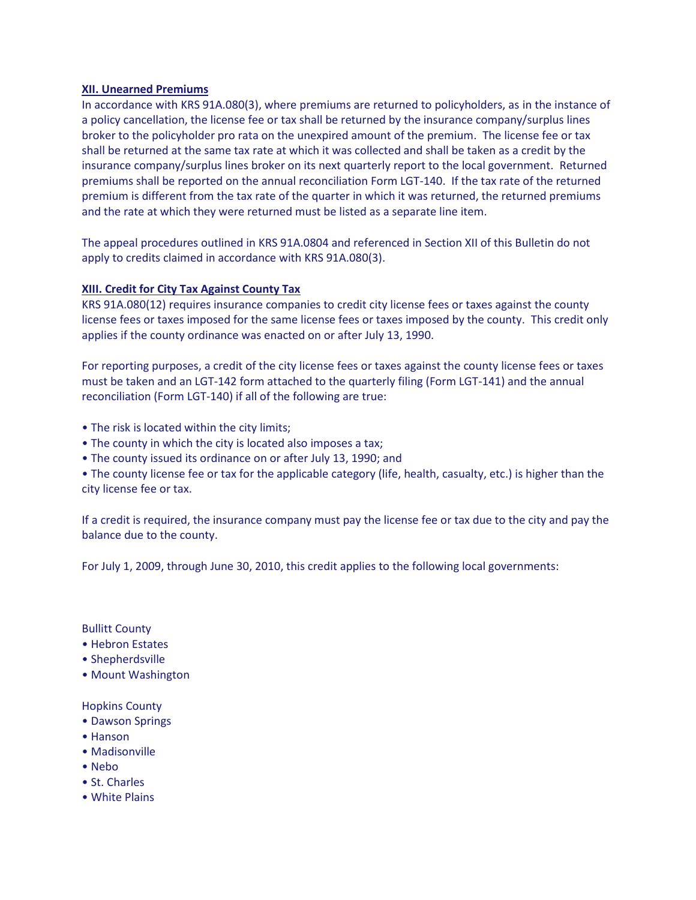# **XII. Unearned Premiums**

In accordance with KRS 91A.080(3), where premiums are returned to policyholders, as in the instance of a policy cancellation, the license fee or tax shall be returned by the insurance company/surplus lines broker to the policyholder pro rata on the unexpired amount of the premium. The license fee or tax shall be returned at the same tax rate at which it was collected and shall be taken as a credit by the insurance company/surplus lines broker on its next quarterly report to the local government. Returned premiums shall be reported on the annual reconciliation Form LGT-140. If the tax rate of the returned premium is different from the tax rate of the quarter in which it was returned, the returned premiums and the rate at which they were returned must be listed as a separate line item.

The appeal procedures outlined in KRS 91A.0804 and referenced in Section XII of this Bulletin do not apply to credits claimed in accordance with KRS 91A.080(3).

# **XIII. Credit for City Tax Against County Tax**

KRS 91A.080(12) requires insurance companies to credit city license fees or taxes against the county license fees or taxes imposed for the same license fees or taxes imposed by the county. This credit only applies if the county ordinance was enacted on or after July 13, 1990.

For reporting purposes, a credit of the city license fees or taxes against the county license fees or taxes must be taken and an LGT-142 form attached to the quarterly filing (Form LGT-141) and the annual reconciliation (Form LGT-140) if all of the following are true:

- The risk is located within the city limits;
- The county in which the city is located also imposes a tax;
- The county issued its ordinance on or after July 13, 1990; and

• The county license fee or tax for the applicable category (life, health, casualty, etc.) is higher than the city license fee or tax.

If a credit is required, the insurance company must pay the license fee or tax due to the city and pay the balance due to the county.

For July 1, 2009, through June 30, 2010, this credit applies to the following local governments:

Bullitt County

- Hebron Estates
- Shepherdsville
- Mount Washington

### Hopkins County

- Dawson Springs
- Hanson
- Madisonville
- Nebo
- St. Charles
- White Plains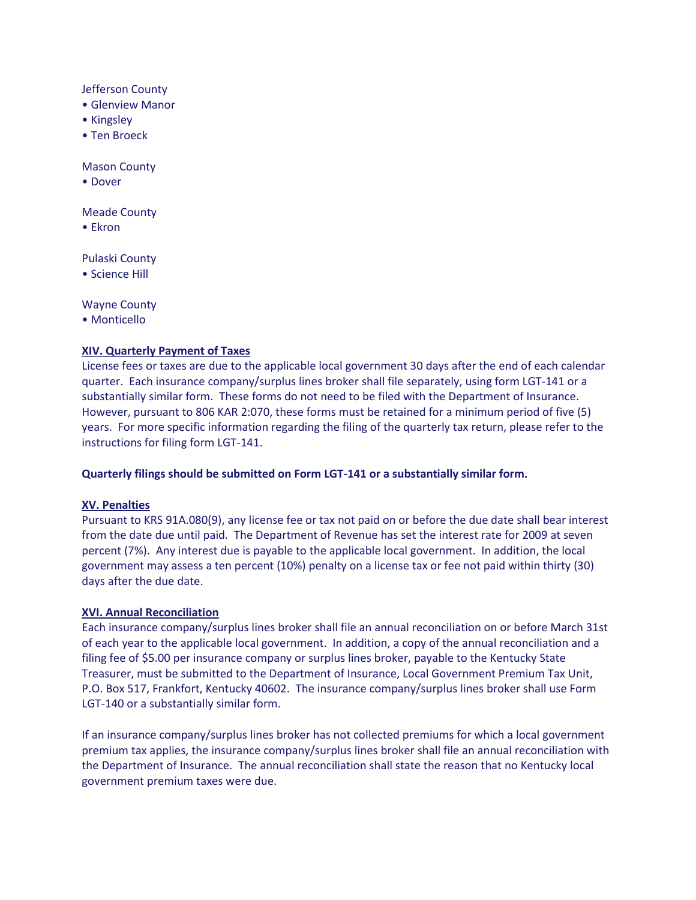Jefferson County

- Glenview Manor
- Kingsley
- Ten Broeck

Mason County

• Dover

Meade County

• Ekron

Pulaski County

• Science Hill

Wayne County

• Monticello

# **XIV. Quarterly Payment of Taxes**

License fees or taxes are due to the applicable local government 30 days after the end of each calendar quarter. Each insurance company/surplus lines broker shall file separately, using form LGT-141 or a substantially similar form. These forms do not need to be filed with the Department of Insurance. However, pursuant to 806 KAR 2:070, these forms must be retained for a minimum period of five (5) years. For more specific information regarding the filing of the quarterly tax return, please refer to the instructions for filing form LGT-141.

### **Quarterly filings should be submitted on Form LGT-141 or a substantially similar form.**

### **XV. Penalties**

Pursuant to KRS 91A.080(9), any license fee or tax not paid on or before the due date shall bear interest from the date due until paid. The Department of Revenue has set the interest rate for 2009 at seven percent (7%). Any interest due is payable to the applicable local government. In addition, the local government may assess a ten percent (10%) penalty on a license tax or fee not paid within thirty (30) days after the due date.

# **XVI. Annual Reconciliation**

Each insurance company/surplus lines broker shall file an annual reconciliation on or before March 31st of each year to the applicable local government. In addition, a copy of the annual reconciliation and a filing fee of \$5.00 per insurance company or surplus lines broker, payable to the Kentucky State Treasurer, must be submitted to the Department of Insurance, Local Government Premium Tax Unit, P.O. Box 517, Frankfort, Kentucky 40602. The insurance company/surplus lines broker shall use Form LGT-140 or a substantially similar form.

If an insurance company/surplus lines broker has not collected premiums for which a local government premium tax applies, the insurance company/surplus lines broker shall file an annual reconciliation with the Department of Insurance. The annual reconciliation shall state the reason that no Kentucky local government premium taxes were due.